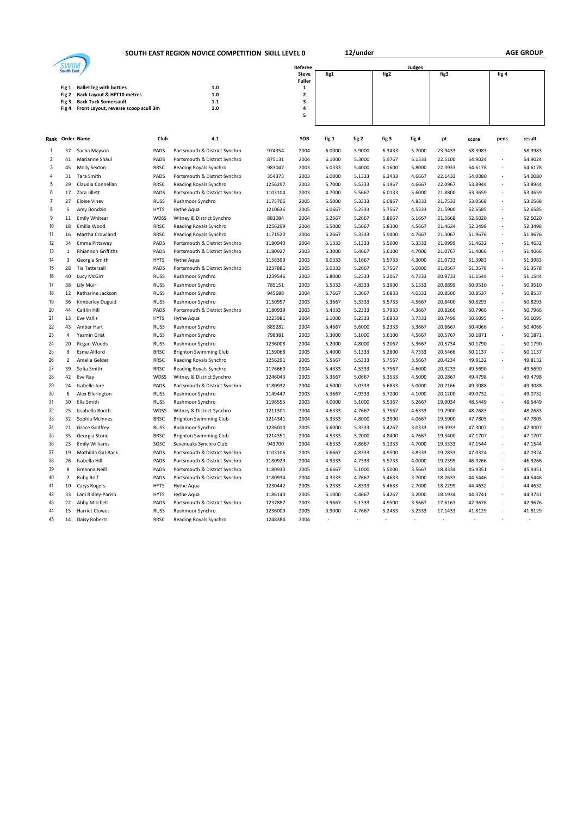**SOUTH EAST REGION NOVICE COMPETITION SKILL LEVEL 0 12/under** 

 $\overline{\phantom{0}}$ 

| <b>South East</b> |                |                                                              |             |                               |         | Referee                      |                |        |        |                |                |                |                          |                |
|-------------------|----------------|--------------------------------------------------------------|-------------|-------------------------------|---------|------------------------------|----------------|--------|--------|----------------|----------------|----------------|--------------------------|----------------|
|                   |                |                                                              |             |                               |         | <b>Steve</b>                 | fig1           |        | fig2   |                | fig3           |                | fig 4                    |                |
|                   |                |                                                              |             | $1.0\,$                       |         | <b>Fuller</b><br>$\mathbf 1$ |                |        |        |                |                |                |                          |                |
|                   | Fig 1<br>Fig 2 | <b>Ballet leg with bottles</b><br>Back Layout & HFT10 metres |             | $1.0$                         |         | $\overline{\mathbf{2}}$      |                |        |        |                |                |                |                          |                |
|                   | Fig 3          | <b>Back Tuck Somersault</b>                                  |             | $1.1\,$                       |         | 3                            |                |        |        |                |                |                |                          |                |
|                   | Fig 4          | Front Layout, reverse scoop scull 3m                         |             | $1.0$                         |         | 4                            |                |        |        |                |                |                |                          |                |
|                   |                |                                                              |             |                               |         | 5                            |                |        |        |                |                |                |                          |                |
|                   |                |                                                              |             |                               |         |                              |                |        |        |                |                |                |                          |                |
|                   |                | Rank Order Name                                              | Club        | 4.1                           |         | YOB                          | fig 1          | fig 2  | fig 3  | fig 4          | pt             | score          | pens                     | result         |
| -1                | 37             | Sacha Mayson                                                 | PADS        | Portsmouth & District Synchro | 974354  | 2004                         | 6.0000         | 5.9000 | 6.3433 | 5.7000         | 23.9433        | 58.3983        |                          | 58.3983        |
| 2                 | 41             | Marianne Shaul                                               | PADS        | Portsmouth & District Synchro | 875131  | 2004                         | 6.1000         | 5.3000 | 5.9767 | 5.1333         | 22.5100        | 54.9024        | $\overline{\phantom{m}}$ | 54.9024        |
| 3                 | 45             | Molly Sexton                                                 | RRSC        | Reading Royals Synchro        | 983047  | 2003                         | 5.0333         | 5.4000 | 6.1600 | 5.8000         | 22.3933        | 54.6178        | ÷                        | 54.6178        |
| 4                 | 31             | Tara Smith                                                   | PADS        | Portsmouth & District Synchro | 354373  | 2003                         | 6.0000         | 5.1333 | 6.3433 | 4.6667         | 22.1433        | 54.0080        | $\overline{a}$           | 54.0080        |
| 5                 | 29             | Claudia Connellan                                            | <b>RRSC</b> | Reading Royals Synchro        | 1256297 | 2003                         | 5.7000         | 5.5333 | 6.1967 | 4.6667         | 22.0967        | 53.8944        | $\overline{a}$           | 53.8944        |
| 6                 | 17             | Zara Jillett                                                 | PADS        | Portsmouth & District Synchro | 1103104 | 2003                         | 4.7000         | 5.5667 | 6.0133 | 5.6000         | 21.8800        | 53.3659        | $\overline{a}$           | 53.3659        |
| $\overline{7}$    | 27             | <b>Eloise Viney</b>                                          | <b>RUSS</b> | Rushmoor Synchro              | 1175706 | 2005                         | 5.5000         | 5.3333 | 6.0867 | 4.8333         | 21.7533        | 53.0568        | $\frac{1}{2}$            | 53.0568        |
| 8                 | 5              | Amy Bondzio                                                  | <b>HYTS</b> | Hythe Aqua                    | 1210636 | 2005                         | 6.0667         | 5.2333 | 5.7567 | 4.5333         | 21.5900        | 52.6585        | $\overline{a}$           | 52.6585        |
| 9                 | 11             | <b>Emily Whitear</b>                                         | WDSS        | Witney & District Synchro     | 881084  | 2004                         | 5.2667         | 5.2667 | 5.8667 | 5.1667         | 21.5668        | 52.6020        | $\overline{a}$           | 52.6020        |
| 10                | 18             | Emilia Wood                                                  | <b>RRSC</b> | Reading Royals Synchro        | 1256299 | 2004                         | 5.5000         | 5.5667 | 5.8300 | 4.5667         | 21.4634        | 52.3498        | $\frac{1}{2}$            | 52.3498        |
| 11                | 16             | Martha Crowland                                              | <b>RRSC</b> | Reading Royals Synchro        | 1171520 | 2004                         | 5.2667         | 5.3333 | 5.9400 | 4.7667         | 21.3067        | 51.9676        | $\overline{a}$           | 51.9676        |
| 12                | 34             | Emma Pittaway                                                | PADS        | Portsmouth & District Synchro | 1180940 | 2004                         | 5.1333         | 5.1333 | 5.5000 | 5.3333         | 21.0999        | 51.4632        | $\overline{a}$           | 51.4632        |
| 13                | $\mathbf{1}$   | <b>Rhiannon Griffiths</b>                                    | PADS        | Portsmouth & District Synchro | 1180927 | 2003                         | 5.3000         | 5.4667 | 5.6100 | 4.7000         | 21.0767        | 51.4066        | $\overline{\phantom{a}}$ | 51.4066        |
| 14                | 3              | Georgia Smith                                                | <b>HYTS</b> | Hythe Aqua                    | 1158399 | 2003                         | 6.0333         | 5.1667 | 5.5733 | 4.3000         | 21.0733        | 51.3983        | $\overline{a}$           | 51.3983        |
| 15                | 28             | <b>Tia Tattersall</b>                                        | PADS        | Portsmouth & District Synchro | 1237881 | 2005                         | 5.0333         | 5.2667 | 5.7567 | 5.0000         | 21.0567        | 51.3578        | $\overline{a}$           | 51.3578        |
| 16                | 40             | Lucy McGirr                                                  | <b>RUSS</b> | Rushmoor Synchro              | 1239546 | 2003                         | 5.8000         | 5.2333 | 5.2067 | 4.7333         | 20.9733        | 51.1544        | $\overline{\phantom{a}}$ | 51.1544        |
| 17                | 38             | Lily Muir                                                    | <b>RUSS</b> | Rushmoor Synchro              | 785151  | 2003                         | 5.5333         | 4.8333 | 5.3900 | 5.1333         | 20.8899        | 50.9510        | $\overline{a}$           | 50.9510        |
| 18                | 12             | Katharine Jackson                                            | <b>RUSS</b> | Rushmoor Synchro              | 945688  | 2004                         | 5.7667         | 5.3667 | 5.6833 | 4.0333         | 20.8500        | 50.8537        | $\frac{1}{2}$            | 50.8537        |
| 19                | 36             | Kimberley Duguid                                             | <b>RUSS</b> | Rushmoor Synchro              | 1150997 | 2003                         | 5.3667         | 5.3333 | 5.5733 | 4.5667         | 20.8400        | 50.8293        | $\overline{a}$           | 50.8293        |
| 20                | 44             | Caitlin Hill                                                 | PADS        | Portsmouth & District Synchro | 1180939 | 2003                         | 5.4333         | 5.2333 | 5.7933 | 4.3667         | 20.8266        | 50.7966        | $\overline{a}$           | 50.7966        |
| 21                | 13             | Eve Vallis                                                   | <b>HYTS</b> | Hythe Aqua                    | 1223981 | 2004                         | 6.1000         | 5.2333 | 5.6833 | 3.7333         | 20.7499        | 50.6095        | $\frac{1}{2}$            | 50.6095        |
| 22                | 43             | Amber Hart                                                   | <b>RUSS</b> | Rushmoor Synchro              | 885282  | 2004                         | 5.4667         | 5.6000 | 6.2333 | 3.3667         | 20.6667        | 50.4066        | $\frac{1}{2}$            | 50.4066        |
| 23                | $\overline{4}$ | Yasmin Grist                                                 | <b>RUSS</b> | Rushmoor Synchro              | 798381  | 2003                         | 5.3000         | 5.1000 | 5.6100 | 4.5667         | 20.5767        | 50.1871        | $\overline{a}$           | 50.1871        |
| 24                | 20             | Regan Woods                                                  | <b>RUSS</b> | Rushmoor Synchro              | 1236008 | 2004                         | 5.2000         | 4.8000 | 5.2067 | 5.3667         | 20.5734        | 50.1790        | i,                       | 50.1790        |
| 25                | 9              | <b>Esme Allford</b>                                          | <b>BRSC</b> | <b>Brighton Swimming Club</b> | 1159068 | 2005                         | 5.4000         | 5.1333 | 5.2800 | 4.7333         | 20.5466        | 50.1137        | $\overline{a}$           | 50.1137        |
| 26                | $\overline{2}$ | Amelia Gelder                                                | <b>RRSC</b> | Reading Royals Synchro        | 1256291 | 2005                         | 5.5667         | 5.5333 | 5.7567 | 3.5667         | 20.4234        | 49.8132        | $\overline{a}$           | 49.8132        |
| 27                | 39             | Sofia Smith                                                  | <b>RRSC</b> | Reading Royals Synchro        | 1176660 | 2004                         | 5.4333         | 4.5333 | 5.7567 | 4.6000         | 20.3233        | 49.5690        | ÷                        | 49.5690        |
| 28                | 42             | Eve Ray                                                      | WDSS        | Witney & District Synchro     | 1246043 | 2003                         | 5.3667         | 5.0667 | 5.3533 | 4.5000         | 20.2867        | 49.4798        | ÷                        | 49.4798        |
| 29                | 24             | Isabelle Jure                                                | PADS        | Portsmouth & District Synchro | 1180932 | 2004                         | 4.5000         | 5.0333 | 5.6833 | 5.0000         | 20.2166        | 49.3088        | $\overline{a}$           | 49.3088        |
| 30                | 6              | Alex Ellerington                                             | <b>RUSS</b> | Rushmoor Synchro              | 1149447 | 2003                         | 5.3667         | 4.9333 | 5.7200 | 4.1000         | 20.1200        | 49.0732        | $\frac{1}{2}$            | 49.0732        |
| 31                | 30             | Ella Smith                                                   | <b>RUSS</b> | Rushmoor Synchro              | 1196555 | 2003                         | 4.0000         | 5.1000 | 5.5367 | 5.2667         | 19.9034        | 48.5449        | $\overline{a}$           | 48.5449        |
| 32                | 25             | Issabella Booth                                              | WDSS        | Witney & District Synchro     | 1211301 | 2004                         | 4.6333         | 4.7667 | 5.7567 | 4.6333         | 19.7900        | 48.2683        | $\overline{a}$           | 48.2683        |
| 33                | 32             | Sophia McInnes                                               | <b>BRSC</b> | <b>Brighton Swimming Club</b> | 1214341 | 2004                         | 5.3333         | 4.8000 | 5.3900 | 4.0667         | 19.5900        | 47.7805        | $\overline{\phantom{a}}$ | 47.7805        |
| 34                | 21             | Grace Godfrey                                                | <b>RUSS</b> | Rushmoor Synchro              | 1236010 | 2005                         | 5.6000         | 5.3333 | 5.4267 | 3.0333         | 19.3933        | 47.3007        | $\overline{a}$           | 47.3007        |
| 35                | 35             | Georgia Stone                                                | <b>BRSC</b> | <b>Brighton Swimming Club</b> | 1214351 | 2004                         | 4.5333         | 5.2000 | 4.8400 | 4.7667         | 19.3400        | 47.1707        | ÷                        | 47.1707        |
| 36                | 23             | <b>Emily Williams</b>                                        | SOSC        | Sevenoaks Synchro Club        | 943700  | 2004                         | 4.6333         | 4.8667 | 5.1333 | 4.7000         | 19.3333        | 47.1544        | $\overline{\phantom{m}}$ | 47.1544        |
| 37                | 19             | Mathilda Gal-Back                                            | PADS        | Portsmouth & District Synchro | 1103106 | 2005                         | 5.6667         | 4.8333 | 4.9500 | 3.8333         | 19.2833        | 47.0324        | $\overline{a}$           | 47.0324        |
| 38                | 26             | Isabella Hill                                                | PADS        | Portsmouth & District Synchro | 1180929 | 2004                         | 4.9333         | 4.7333 | 5.5733 | 4.0000         | 19.2399        | 46.9266        | $\frac{1}{2}$            | 46.9266        |
| 39                | 8              | Breanna Neill                                                | PADS        | Portsmouth & District Synchro | 1180933 | 2005                         | 4.6667         | 5.1000 | 5.5000 | 3.5667         | 18.8334        | 45.9351        | $\overline{a}$           | 45.9351        |
| 40                | $\overline{7}$ | <b>Ruby Rolf</b>                                             | PADS        | Portsmouth & District Synchro | 1180934 | 2004                         | 4.3333         | 4.7667 | 5.4633 | 3.7000         | 18.2633        | 44.5446        | $\overline{a}$           | 44.5446        |
| 41                | 10             | Carys Rogers                                                 | <b>HYTS</b> | Hythe Aqua                    | 1230442 | 2005                         | 5.2333         | 4.8333 | 5.4633 | 2.7000         | 18.2299        | 44.4632        | $\overline{\phantom{m}}$ | 44.4632        |
| 42                | 33             | Lani Ridley-Parish                                           | <b>HYTS</b> | <b>Hythe Aqua</b>             | 1186140 | 2005                         | 5.1000         | 4.4667 | 5.4267 | 3.2000         | 18.1934        | 44.3741        | $\overline{a}$           | 44.3741        |
| 43                | 22             | Abby Mitchell                                                | PADS        | Portsmouth & District Synchro | 1237887 | 2003                         | 3.9667         | 5.1333 | 4.9500 | 3.5667         | 17.6167        | 42.9676        | $\overline{a}$           | 42.9676        |
| 44                | 15             | <b>Harriet Clowes</b>                                        | <b>RUSS</b> | Rushmoor Synchro              | 1236009 | 2005                         | 3.9000         | 4.7667 | 5.2433 | 3.2333         | 17.1433        | 41.8129        | $\overline{a}$           | 41.8129        |
| 45                | 14             | Daisy Roberts                                                | <b>RRSC</b> | Reading Royals Synchro        | 1248384 | 2004                         | $\overline{a}$ | ÷      | ×,     | $\overline{a}$ | $\overline{a}$ | $\overline{a}$ | $\overline{a}$           | $\overline{a}$ |
|                   |                |                                                              |             |                               |         |                              |                |        |        |                |                |                |                          |                |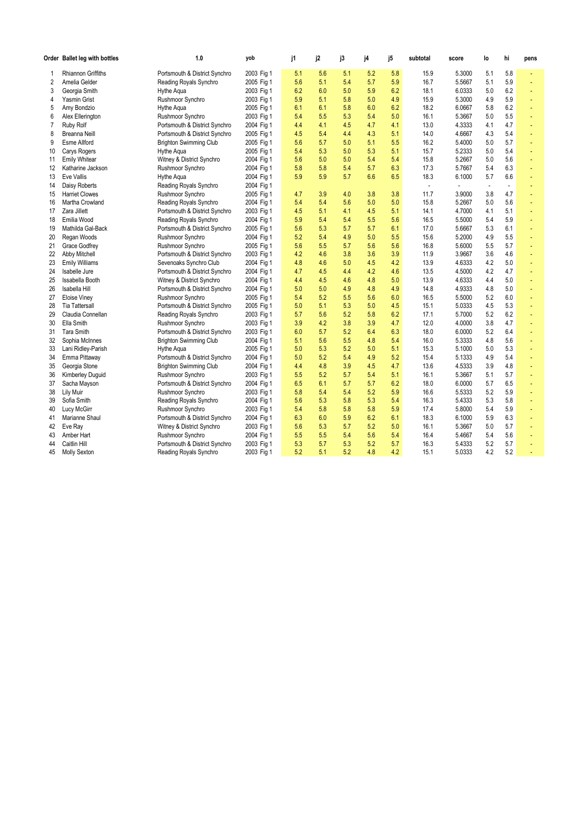|          | Order Ballet leg with bottles | 1.0                           | yob        | j1         | j2         | j3         | j4         | j5         | subtotal              | score            | lo                       | hi             | pens |
|----------|-------------------------------|-------------------------------|------------|------------|------------|------------|------------|------------|-----------------------|------------------|--------------------------|----------------|------|
|          | <b>Rhiannon Griffiths</b>     | Portsmouth & District Synchro | 2003 Fig 1 | 5.1        | 5.6        | 5.1        | 5.2        | 5.8        | 15.9                  | 5.3000           | 5.1                      | 5.8            |      |
| 2        | Amelia Gelder                 | Reading Royals Synchro        | 2005 Fig 1 | 5.6        | 5.1        | 5.4        | 5.7        | 5.9        | 16.7                  | 5.5667           | 5.1                      | 5.9            | ÷,   |
| 3        | Georgia Smith                 | Hythe Aqua                    | 2003 Fig 1 | 6.2        | 6.0        | 5.0        | 5.9        | 6.2        | 18.1                  | 6.0333           | 5.0                      | 6.2            | ٠    |
| 4        | Yasmin Grist                  | Rushmoor Synchro              | 2003 Fig 1 | 5.9        | 5.1        | 5.8        | 5.0        | 4.9        | 15.9                  | 5.3000           | 4.9                      | 5.9            |      |
| 5        | Amy Bondzio                   | Hythe Agua                    | 2005 Fig 1 | 6.1        | 6.1        | 5.8        | 6.0        | 6.2        | 18.2                  | 6.0667           | 5.8                      | 6.2            |      |
| 6        | Alex Ellerington              | Rushmoor Synchro              | 2003 Fig 1 | 5.4        | 5.5        | 5.3        | 5.4        | 5.0        | 16.1                  | 5.3667           | 5.0                      | 5.5            | ÷    |
| 7        | Ruby Rolf                     | Portsmouth & District Synchro | 2004 Fig 1 | 4.4        | 4.1        | 4.5        | 4.7        | 4.1        | 13.0                  | 4.3333           | 4.1                      | 4.7            |      |
| 8        | <b>Breanna Neill</b>          | Portsmouth & District Synchro | 2005 Fig 1 | 4.5        | 5.4        | 4.4        | 4.3        | 5.1        | 14.0                  | 4.6667           | 4.3                      | 5.4            |      |
| 9        | <b>Esme Allford</b>           | <b>Brighton Swimming Club</b> | 2005 Fig 1 | 5.6        | 5.7        | 5.0        | 5.1        | 5.5        | 16.2                  | 5.4000           | 5.0                      | 5.7            |      |
| 10       | Carys Rogers                  | Hythe Aqua                    | 2005 Fig 1 | 5.4        | 5.3        | 5.0        | 5.3        | 5.1        | 15.7                  | 5.2333           | 5.0                      | 5.4            |      |
| 11       | <b>Emily Whitear</b>          | Witney & District Synchro     | 2004 Fig 1 | 5.6        | 5.0        | 5.0        | 5.4        | 5.4        | 15.8                  | 5.2667           | 5.0                      | 5.6            | ä,   |
| 12       | Katharine Jackson             | Rushmoor Synchro              | 2004 Fig 1 | 5.8        | 5.8        | 5.4        | 5.7        | 6.3        | 17.3                  | 5.7667           | 5.4                      | 6.3            |      |
| 13       | Eve Vallis                    | Hythe Aqua                    | 2004 Fig 1 | 5.9        | 5.9        | 5.7        | 6.6        | 6.5        | 18.3                  | 6.1000           | 5.7                      | 6.6            | ä,   |
| 14       | Daisy Roberts                 | Reading Royals Synchro        | 2004 Fig 1 |            |            |            |            |            | $\tilde{\phantom{a}}$ | $\blacksquare$   | $\overline{\phantom{a}}$ | $\blacksquare$ |      |
| 15       | <b>Harriet Clowes</b>         | Rushmoor Synchro              | 2005 Fig 1 | 4.7        | 3.9        | 4.0        | 3.8        | 3.8        | 11.7                  | 3.9000           | 3.8                      | 4.7            |      |
| 16       | Martha Crowland               | Reading Royals Synchro        | 2004 Fig 1 | 5.4        | 5.4        | 5.6        | 5.0        | 5.0        | 15.8                  | 5.2667           | 5.0                      | 5.6            | ÷,   |
| 17       | Zara Jillett                  | Portsmouth & District Synchro | 2003 Fig 1 | 4.5        | 5.1        | 4.1        | 4.5        | 5.1        | 14.1                  | 4.7000           | 4.1                      | 5.1            | ÷    |
| 18       | Emilia Wood                   | Reading Royals Synchro        | 2004 Fig 1 | 5.9        | 5.4        | 5.4        | 5.5        | 5.6        | 16.5                  | 5.5000           | 5.4                      | 5.9            | ÷,   |
| 19       | Mathilda Gal-Back             | Portsmouth & District Synchro | 2005 Fig 1 | 5.6        | 5.3        | 5.7        | 5.7        | 6.1        | 17.0                  | 5.6667           | 5.3                      | 6.1            |      |
| 20       | Regan Woods                   | Rushmoor Synchro              | 2004 Fig 1 | 5.2        | 5.4        | 4.9        | 5.0        | 5.5        | 15.6                  | 5.2000           | 4.9                      | 5.5            | ٠    |
| 21       | Grace Godfrey                 | Rushmoor Synchro              | 2005 Fig 1 | 5.6        | 5.5        | 5.7        | 5.6        | 5.6        | 16.8                  | 5.6000           | 5.5                      | 5.7            | ÷    |
| 22       | Abby Mitchell                 | Portsmouth & District Synchro | 2003 Fig 1 | 4.2        | 4.6        | 3.8        | 3.6        | 3.9        | 11.9                  | 3.9667           | 3.6                      | 4.6            | ä,   |
| 23       | <b>Emily Williams</b>         | Sevenoaks Synchro Club        | 2004 Fig 1 | 4.8        | 4.6        | 5.0        | 4.5        | 4.2        | 13.9                  | 4.6333           | 4.2                      | 5.0            | ÷    |
| 24       | Isabelle Jure                 | Portsmouth & District Synchro | 2004 Fig 1 | 4.7        | 4.5        | 4.4        | 4.2        | 4.6        | 13.5                  | 4.5000           | 4.2                      | 4.7            | ä,   |
| 25       | Issabella Booth               | Witney & District Synchro     | 2004 Fig 1 | 4.4        | 4.5        | 4.6        | 4.8        | 5.0        | 13.9                  | 4.6333           | 4.4                      | 5.0            | ÷    |
| 26       | Isabella Hill                 | Portsmouth & District Synchro | 2004 Fig 1 | 5.0        | 5.0        | 4.9        | 4.8        | 4.9        | 14.8                  | 4.9333           | 4.8                      | 5.0            | ä,   |
| 27       | Eloise Viney                  | Rushmoor Synchro              | 2005 Fig 1 | 5.4        | 5.2        | 5.5        | 5.6        | 6.0        | 16.5                  | 5.5000           | 5.2                      | 6.0            |      |
| 28       | <b>Tia Tattersall</b>         | Portsmouth & District Synchro | 2005 Fig 1 | 5.0        | 5.1        | 5.3        | 5.0        | 4.5        | 15.1                  | 5.0333           | 4.5                      | 5.3            | ÷    |
| 29       | Claudia Connellan             | Reading Royals Synchro        | 2003 Fig 1 | 5.7        | 5.6        | 5.2        | 5.8        | 6.2        | 17.1                  | 5.7000           | 5.2                      | 6.2            |      |
| 30       | Ella Smith                    | Rushmoor Synchro              | 2003 Fig 1 | 3.9        | 4.2        | 3.8        | 3.9        | 4.7        | 12.0                  | 4.0000           | 3.8                      | 4.7            | ä,   |
| 31       | Tara Smith                    | Portsmouth & District Synchro | 2003 Fig 1 | 6.0        | 5.7        | 5.2        | 6.4        | 6.3        | 18.0                  | 6.0000           | 5.2                      | 6.4            | ÷    |
| 32       | Sophia McInnes                | <b>Brighton Swimming Club</b> | 2004 Fig 1 | 5.1        | 5.6        | 5.5        | 4.8        | 5.4        | 16.0                  | 5.3333           | 4.8                      | 5.6            |      |
| 33       | Lani Ridley-Parish            | Hythe Aqua                    | 2005 Fig 1 | 5.0        | 5.3        | 5.2        | 5.0        | 5.1        | 15.3                  | 5.1000           | 5.0                      | 5.3            |      |
| 34       | Emma Pittaway                 | Portsmouth & District Synchro | 2004 Fig 1 | 5.0        | 5.2        | 5.4        | 4.9        | 5.2        | 15.4                  | 5.1333           | 4.9                      | 5.4            |      |
| 35       | Georgia Stone                 | <b>Brighton Swimming Club</b> | 2004 Fig 1 | 4.4        | 4.8        | 3.9        | 4.5        | 4.7        | 13.6                  | 4.5333           | 3.9                      | 4.8            | ä,   |
| 36       | Kimberley Duguid              | Rushmoor Synchro              | 2003 Fig 1 | 5.5        | 5.2        | 5.7        | 5.4        | 5.1        | 16.1                  | 5.3667           | 5.1                      | 5.7            | ٠    |
| 37       | Sacha Mayson                  | Portsmouth & District Synchro | 2004 Fig 1 | 6.5        | 6.1        | 5.7        | 5.7        | 6.2        | 18.0                  | 6.0000           | 5.7                      | 6.5            |      |
| 38       | Lily Muir                     | Rushmoor Synchro              | 2003 Fig 1 | 5.8        | 5.4        | 5.4        | 5.2        | 5.9        | 16.6                  | 5.5333           | 5.2                      | 5.9            |      |
| 39       | Sofia Smith                   | Reading Royals Synchro        | 2004 Fig 1 | 5.6        | 5.3        | 5.8        | 5.3        | 5.4        | 16.3                  | 5.4333           | 5.3                      | 5.8            |      |
| 40       | Lucy McGirr                   | Rushmoor Synchro              | 2003 Fig 1 | 5.4        | 5.8        | 5.8        | 5.8        | 5.9        | 17.4                  | 5.8000           | 5.4                      | 5.9            | ÷,   |
| 41       | Marianne Shaul                | Portsmouth & District Synchro | 2004 Fig 1 | 6.3        | 6.0        | 5.9        | 6.2        | 6.1        | 18.3                  | 6.1000           | 5.9                      | 6.3            | ٠    |
| 42       | Eve Ray                       | Witney & District Synchro     | 2003 Fig 1 | 5.6        | 5.3        | 5.7        | 5.2        | 5.0        | 16.1                  | 5.3667           | 5.0                      | 5.7            | ٠    |
| 43       | Amber Hart                    | Rushmoor Synchro              | 2004 Fig 1 | 5.5<br>5.3 | 5.5        | 5.4        | 5.6<br>5.2 | 5.4        | 16.4                  | 5.4667<br>5.4333 | 5.4<br>5.2               | 5.6<br>5.7     |      |
| 44<br>45 | Caitlin Hill                  | Portsmouth & District Synchro | 2003 Fig 1 | 5.2        | 5.7<br>5.1 | 5.3<br>5.2 | 4.8        | 5.7<br>4.2 | 16.3<br>15.1          | 5.0333           | 4.2                      | 5.2            |      |
|          | <b>Molly Sexton</b>           | Reading Royals Synchro        | 2003 Fig 1 |            |            |            |            |            |                       |                  |                          |                |      |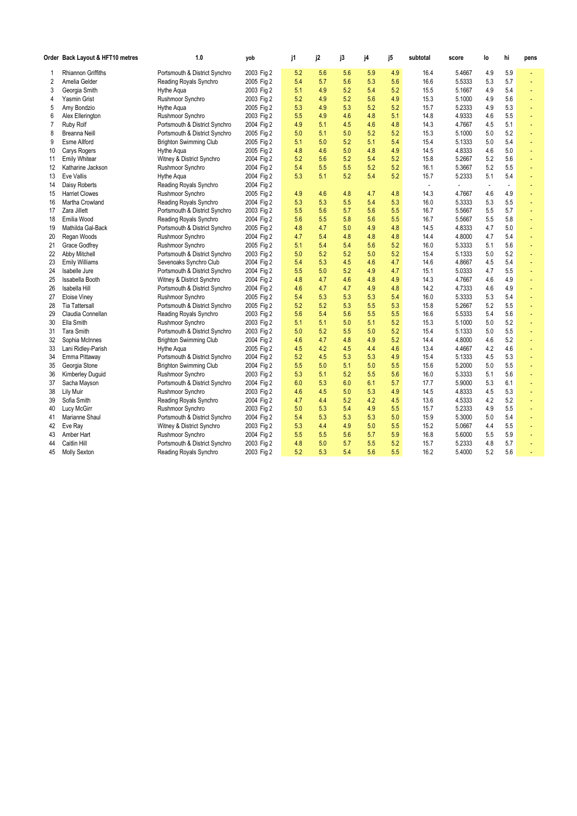|          | Order Back Layout & HFT10 metres         | 1.0                                               | yob                      | j1         | j2         | j3         | j4         | j5         | subtotal     | score            | lo                       | hi         | pens |
|----------|------------------------------------------|---------------------------------------------------|--------------------------|------------|------------|------------|------------|------------|--------------|------------------|--------------------------|------------|------|
| 1        | Rhiannon Griffiths                       | Portsmouth & District Synchro                     | 2003 Fig 2               | 5.2        | 5.6        | 5.6        | 5.9        | 4.9        | 16.4         | 5.4667           | 4.9                      | 5.9        |      |
| 2        | Amelia Gelder                            | Reading Royals Synchro                            | 2005 Fig 2               | 5.4        | 5.7        | 5.6        | 5.3        | 5.6        | 16.6         | 5.5333           | 5.3                      | 5.7        |      |
| 3        | Georgia Smith                            | Hythe Aqua                                        | 2003 Fig 2               | 5.1        | 4.9        | 5.2        | 5.4        | 5.2        | 15.5         | 5.1667           | 4.9                      | 5.4        | ÷    |
| 4        | Yasmin Grist                             | Rushmoor Synchro                                  | 2003 Fig 2               | 5.2        | 4.9        | 5.2        | 5.6        | 4.9        | 15.3         | 5.1000           | 4.9                      | 5.6        |      |
| 5        | Amy Bondzio                              | Hythe Aqua                                        | 2005 Fig 2               | 5.3        | 4.9        | 5.3        | 5.2        | 5.2        | 15.7         | 5.2333           | 4.9                      | 5.3        |      |
| 6        | Alex Ellerington                         | Rushmoor Synchro                                  | 2003 Fig 2               | 5.5        | 4.9        | 4.6        | 4.8        | 5.1        | 14.8         | 4.9333           | 4.6                      | 5.5        |      |
| 7        | Ruby Rolf                                | Portsmouth & District Synchro                     | 2004 Fig 2               | 4.9        | 5.1        | 4.5        | 4.6        | 4.8        | 14.3         | 4.7667           | 4.5                      | 5.1        |      |
| 8        | Breanna Neill                            | Portsmouth & District Synchro                     | 2005 Fig 2               | 5.0        | 5.1        | 5.0        | 5.2        | 5.2        | 15.3         | 5.1000           | 5.0                      | 5.2        | ÷    |
| 9        | <b>Esme Allford</b>                      | Brighton Swimming Club                            | 2005 Fig 2               | 5.1        | 5.0        | 5.2        | 5.1        | 5.4        | 15.4         | 5.1333           | 5.0                      | 5.4        |      |
| 10       | Carys Rogers                             | Hythe Aqua                                        | 2005 Fig 2               | 4.8        | 4.6        | 5.0        | 4.8        | 4.9        | 14.5         | 4.8333           | 4.6                      | 5.0        |      |
| 11       | <b>Emily Whitear</b>                     | Witney & District Synchro                         | 2004 Fig 2               | 5.2        | 5.6        | 5.2        | 5.4        | 5.2        | 15.8         | 5.2667           | 5.2                      | 5.6        |      |
| 12       | Katharine Jackson                        | Rushmoor Synchro                                  | 2004 Fig 2               | 5.4        | 5.5        | 5.5        | 5.2        | 5.2        | 16.1         | 5.3667           | 5.2                      | 5.5        |      |
| 13       | <b>Eve Vallis</b>                        | Hythe Aqua                                        | 2004 Fig 2               | 5.3        | 5.1        | 5.2        | 5.4        | 5.2        | 15.7         | 5.2333           | 5.1                      | 5.4        |      |
| 14       | Daisy Roberts                            | Reading Royals Synchro                            | 2004 Fig 2               |            |            |            |            |            | ÷,           | ÷,               | $\overline{\phantom{a}}$ | ÷,         |      |
| 15       | <b>Harriet Clowes</b>                    | Rushmoor Synchro                                  | 2005 Fig 2               | 4.9        | 4.6        | 4.8        | 4.7        | 4.8        | 14.3         | 4.7667           | 4.6                      | 4.9        |      |
| 16       | Martha Crowland                          | Reading Royals Synchro                            | 2004 Fig 2               | 5.3        | 5.3        | 5.5        | 5.4        | 5.3        | 16.0         | 5.3333           | 5.3                      | 5.5        | ÷,   |
| 17       | Zara Jillett                             | Portsmouth & District Synchro                     | 2003 Fig 2               | 5.5        | 5.6        | 5.7        | 5.6        | 5.5        | 16.7         | 5.5667           | 5.5                      | 5.7        |      |
| 18       | Emilia Wood                              | Reading Royals Synchro                            | 2004 Fig 2               | 5.6        | 5.5        | 5.8        | 5.6        | 5.5        | 16.7         | 5.5667           | 5.5                      | 5.8        | ÷,   |
| 19       | Mathilda Gal-Back                        | Portsmouth & District Synchro                     | 2005 Fig 2               | 4.8        | 4.7        | 5.0        | 4.9        | 4.8        | 14.5         | 4.8333           | 4.7                      | 5.0        |      |
| 20       | Regan Woods                              | Rushmoor Synchro                                  | 2004 Fig 2               | 4.7        | 5.4        | 4.8        | 4.8        | 4.8        | 14.4         | 4.8000           | 4.7                      | 5.4        |      |
| 21       | Grace Godfrey                            | Rushmoor Synchro                                  | 2005 Fig 2               | 5.1        | 5.4        | 5.4        | 5.6        | 5.2        | 16.0         | 5.3333           | 5.1                      | 5.6        | ÷    |
| 22       | Abby Mitchell                            | Portsmouth & District Synchro                     | 2003 Fig 2               | 5.0        | 5.2        | 5.2        | 5.0        | 5.2        | 15.4         | 5.1333           | 5.0                      | 5.2        |      |
| 23       | <b>Emily Williams</b>                    | Sevenoaks Synchro Club                            | 2004 Fig 2               | 5.4        | 5.3        | 4.5        | 4.6        | 4.7        | 14.6         | 4.8667           | 4.5                      | 5.4        |      |
| 24       | Isabelle Jure                            | Portsmouth & District Synchro                     | 2004 Fig 2               | 5.5        | 5.0        | 5.2        | 4.9        | 4.7        | 15.1         | 5.0333           | 4.7                      | 5.5        |      |
| 25       | Issabella Booth                          | Witney & District Synchro                         | 2004 Fig 2               | 4.8        | 4.7        | 4.6        | 4.8        | 4.9        | 14.3         | 4.7667           | 4.6                      | 4.9        |      |
| 26       | Isabella Hill                            | Portsmouth & District Synchro                     | 2004 Fig 2               | 4.6        | 4.7        | 4.7        | 4.9        | 4.8        | 14.2         | 4.7333           | 4.6                      | 4.9        | ÷,   |
| 27       | Eloise Viney                             | Rushmoor Synchro                                  | 2005 Fig 2               | 5.4        | 5.3        | 5.3        | 5.3        | 5.4        | 16.0         | 5.3333           | 5.3                      | 5.4        |      |
| 28       | <b>Tia Tattersall</b>                    | Portsmouth & District Synchro                     | 2005 Fig 2               | 5.2        | 5.2        | 5.3        | 5.5        | 5.3        | 15.8         | 5.2667           | 5.2                      | 5.5        |      |
| 29       | Claudia Connellan                        | Reading Royals Synchro                            | 2003 Fig 2               | 5.6        | 5.4        | 5.6        | 5.5        | 5.5        | 16.6         | 5.5333           | 5.4                      | 5.6        | ÷    |
| 30       | Ella Smith                               | Rushmoor Synchro                                  | 2003 Fig 2               | 5.1        | 5.1        | 5.0        | 5.1        | 5.2        | 15.3         | 5.1000           | 5.0                      | 5.2        |      |
| 31       | <b>Tara Smith</b>                        | Portsmouth & District Synchro                     | 2003 Fig 2               | 5.0        | 5.2        | 5.5        | 5.0<br>4.9 | 5.2        | 15.4         | 5.1333<br>4.8000 | 5.0<br>4.6               | 5.5        | ÷,   |
| 32       | Sophia McInnes                           | <b>Brighton Swimming Club</b>                     | 2004 Fig 2               | 4.6        | 4.7        | 4.8        | 4.4        | 5.2<br>4.6 | 14.4<br>13.4 |                  | 4.2                      | 5.2<br>4.6 |      |
| 33       | Lani Ridley-Parish                       | Hythe Aqua                                        | 2005 Fig 2               | 4.5<br>5.2 | 4.2        | 4.5        | 5.3        |            |              | 4.4667<br>5.1333 |                          |            |      |
| 34<br>35 | Emma Pittaway                            | Portsmouth & District Synchro                     | 2004 Fig 2<br>2004 Fig 2 | 5.5        | 4.5<br>5.0 | 5.3<br>5.1 | 5.0        | 4.9<br>5.5 | 15.4<br>15.6 | 5.2000           | 4.5<br>5.0               | 5.3<br>5.5 | ä,   |
| 36       | Georgia Stone<br><b>Kimberley Duguid</b> | <b>Brighton Swimming Club</b><br>Rushmoor Synchro | 2003 Fig 2               | 5.3        | 5.1        | 5.2        | 5.5        | 5.6        | 16.0         | 5.3333           | 5.1                      | 5.6        |      |
| 37       |                                          | Portsmouth & District Synchro                     | 2004 Fig 2               | 6.0        | 5.3        | 6.0        | 6.1        | 5.7        | 17.7         | 5.9000           | 5.3                      | 6.1        |      |
| 38       | Sacha Mayson<br>Lily Muir                | Rushmoor Synchro                                  | 2003 Fig 2               | 4.6        | 4.5        | 5.0        | 5.3        | 4.9        | 14.5         | 4.8333           | 4.5                      | 5.3        |      |
| 39       | Sofia Smith                              | Reading Royals Synchro                            | 2004 Fig 2               | 4.7        | 4.4        | 5.2        | 4.2        | 4.5        | 13.6         | 4.5333           | 4.2                      | 5.2        | ÷,   |
| 40       | Lucy McGirr                              | Rushmoor Synchro                                  | 2003 Fig 2               | 5.0        | 5.3        | 5.4        | 4.9        | 5.5        | 15.7         | 5.2333           | 4.9                      | 5.5        |      |
| 41       | Marianne Shaul                           | Portsmouth & District Synchro                     | 2004 Fig 2               | 5.4        | 5.3        | 5.3        | 5.3        | 5.0        | 15.9         | 5.3000           | 5.0                      | 5.4        |      |
| 42       | Eve Ray                                  | Witney & District Synchro                         | 2003 Fig 2               | 5.3        | 4.4        | 4.9        | 5.0        | 5.5        | 15.2         | 5.0667           | 4.4                      | 5.5        |      |
| 43       | Amber Hart                               | Rushmoor Synchro                                  | 2004 Fig 2               | 5.5        | 5.5        | 5.6        | 5.7        | 5.9        | 16.8         | 5.6000           | 5.5                      | 5.9        |      |
| 44       | Caitlin Hill                             | Portsmouth & District Synchro                     | 2003 Fig 2               | 4.8        | 5.0        | 5.7        | 5.5        | 5.2        | 15.7         | 5.2333           | 4.8                      | 5.7        |      |
| 45       | <b>Molly Sexton</b>                      | Reading Royals Synchro                            | 2003 Fig 2               | 5.2        | 5.3        | 5.4        | 5.6        | 5.5        | 16.2         | 5.4000           | 5.2                      | 5.6        |      |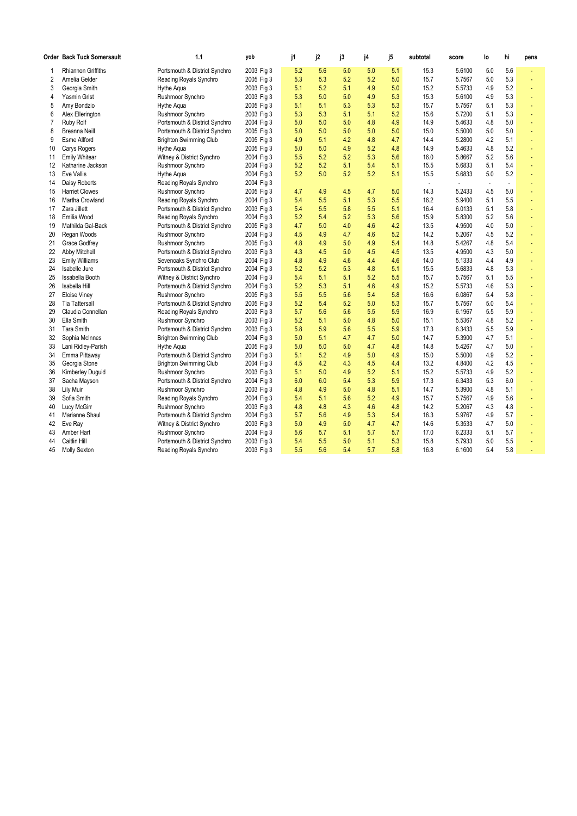|    | Order Back Tuck Somersault | 1.1                           | yob        | j1  | j2  | j3  | j4  | j5  | subtotal | score  | lo           | hi             | pens |
|----|----------------------------|-------------------------------|------------|-----|-----|-----|-----|-----|----------|--------|--------------|----------------|------|
| 1  | Rhiannon Griffiths         | Portsmouth & District Synchro | 2003 Fig 3 | 5.2 | 5.6 | 5.0 | 5.0 | 5.1 | 15.3     | 5.6100 | 5.0          | 5.6            | ä,   |
| 2  | Amelia Gelder              | Reading Royals Synchro        | 2005 Fig 3 | 5.3 | 5.3 | 5.2 | 5.2 | 5.0 | 15.7     | 5.7567 | 5.0          | 5.3            | ä,   |
| 3  | Georgia Smith              | Hythe Aqua                    | 2003 Fig 3 | 5.1 | 5.2 | 5.1 | 4.9 | 5.0 | 15.2     | 5.5733 | 4.9          | 5.2            | ÷    |
| 4  | Yasmin Grist               | Rushmoor Synchro              | 2003 Fig 3 | 5.3 | 5.0 | 5.0 | 4.9 | 5.3 | 15.3     | 5.6100 | 4.9          | 5.3            |      |
| 5  | Amy Bondzio                | Hythe Aqua                    | 2005 Fig 3 | 5.1 | 5.1 | 5.3 | 5.3 | 5.3 | 15.7     | 5.7567 | 5.1          | 5.3            |      |
| 6  | Alex Ellerington           | Rushmoor Synchro              | 2003 Fig 3 | 5.3 | 5.3 | 5.1 | 5.1 | 5.2 | 15.6     | 5.7200 | 5.1          | 5.3            | ä,   |
| 7  | <b>Ruby Rolf</b>           | Portsmouth & District Synchro | 2004 Fig 3 | 5.0 | 5.0 | 5.0 | 4.8 | 4.9 | 14.9     | 5.4633 | 4.8          | 5.0            | ä,   |
| 8  | Breanna Neill              | Portsmouth & District Synchro | 2005 Fig 3 | 5.0 | 5.0 | 5.0 | 5.0 | 5.0 | 15.0     | 5.5000 | 5.0          | 5.0            | ä,   |
| 9  | <b>Esme Allford</b>        | <b>Brighton Swimming Club</b> | 2005 Fig 3 | 4.9 | 5.1 | 4.2 | 4.8 | 4.7 | 14.4     | 5.2800 | 4.2          | 5.1            |      |
| 10 | Carys Rogers               | Hythe Aqua                    | 2005 Fig 3 | 5.0 | 5.0 | 4.9 | 5.2 | 4.8 | 14.9     | 5.4633 | 4.8          | 5.2            |      |
| 11 | <b>Emily Whitear</b>       | Witney & District Synchro     | 2004 Fig 3 | 5.5 | 5.2 | 5.2 | 5.3 | 5.6 | 16.0     | 5.8667 | 5.2          | 5.6            | ÷    |
| 12 | Katharine Jackson          | Rushmoor Synchro              | 2004 Fig 3 | 5.2 | 5.2 | 5.1 | 5.4 | 5.1 | 15.5     | 5.6833 | 5.1          | 5.4            | ä,   |
| 13 | Eve Vallis                 | Hythe Aqua                    | 2004 Fig 3 | 5.2 | 5.0 | 5.2 | 5.2 | 5.1 | 15.5     | 5.6833 | 5.0          | 5.2            | ä,   |
| 14 | Daisy Roberts              | Reading Royals Synchro        | 2004 Fig 3 |     |     |     |     |     | $\sim$   | ÷,     | $\mathbf{r}$ | $\blacksquare$ |      |
| 15 | <b>Harriet Clowes</b>      | Rushmoor Synchro              | 2005 Fig 3 | 4.7 | 4.9 | 4.5 | 4.7 | 5.0 | 14.3     | 5.2433 | 4.5          | 5.0            | ä,   |
| 16 | Martha Crowland            | Reading Royals Synchro        | 2004 Fig 3 | 5.4 | 5.5 | 5.1 | 5.3 | 5.5 | 16.2     | 5.9400 | 5.1          | 5.5            | ä,   |
| 17 | Zara Jillett               | Portsmouth & District Synchro | 2003 Fig 3 | 5.4 | 5.5 | 5.8 | 5.5 | 5.1 | 16.4     | 6.0133 | 5.1          | 5.8            | ä,   |
| 18 | Emilia Wood                | Reading Royals Synchro        | 2004 Fig 3 | 5.2 | 5.4 | 5.2 | 5.3 | 5.6 | 15.9     | 5.8300 | 5.2          | 5.6            | ä,   |
| 19 | Mathilda Gal-Back          | Portsmouth & District Synchro | 2005 Fig 3 | 4.7 | 5.0 | 4.0 | 4.6 | 4.2 | 13.5     | 4.9500 | 4.0          | 5.0            |      |
| 20 | Regan Woods                | Rushmoor Synchro              | 2004 Fig 3 | 4.5 | 4.9 | 4.7 | 4.6 | 5.2 | 14.2     | 5.2067 | 4.5          | 5.2            |      |
| 21 | <b>Grace Godfrey</b>       | Rushmoor Synchro              | 2005 Fig 3 | 4.8 | 4.9 | 5.0 | 4.9 | 5.4 | 14.8     | 5.4267 | 4.8          | 5.4            |      |
| 22 | Abby Mitchell              | Portsmouth & District Synchro | 2003 Fig 3 | 4.3 | 4.5 | 5.0 | 4.5 | 4.5 | 13.5     | 4.9500 | 4.3          | 5.0            |      |
| 23 | <b>Emily Williams</b>      | Sevenoaks Synchro Club        | 2004 Fig 3 | 4.8 | 4.9 | 4.6 | 4.4 | 4.6 | 14.0     | 5.1333 | 4.4          | 4.9            | ä,   |
| 24 | Isabelle Jure              | Portsmouth & District Synchro | 2004 Fig 3 | 5.2 | 5.2 | 5.3 | 4.8 | 5.1 | 15.5     | 5.6833 | 4.8          | 5.3            |      |
| 25 | Issabella Booth            | Witney & District Synchro     | 2004 Fig 3 | 5.4 | 5.1 | 5.1 | 5.2 | 5.5 | 15.7     | 5.7567 | 5.1          | 5.5            |      |
| 26 | Isabella Hill              | Portsmouth & District Synchro | 2004 Fig 3 | 5.2 | 5.3 | 5.1 | 4.6 | 4.9 | 15.2     | 5.5733 | 4.6          | 5.3            | ÷    |
| 27 | <b>Eloise Viney</b>        | Rushmoor Synchro              | 2005 Fig 3 | 5.5 | 5.5 | 5.6 | 5.4 | 5.8 | 16.6     | 6.0867 | 5.4          | 5.8            |      |
| 28 | <b>Tia Tattersall</b>      | Portsmouth & District Synchro | 2005 Fig 3 | 5.2 | 5.4 | 5.2 | 5.0 | 5.3 | 15.7     | 5.7567 | 5.0          | 5.4            | ä,   |
| 29 | Claudia Connellan          | Reading Royals Synchro        | 2003 Fig 3 | 5.7 | 5.6 | 5.6 | 5.5 | 5.9 | 16.9     | 6.1967 | 5.5          | 5.9            |      |
| 30 | Ella Smith                 | Rushmoor Synchro              | 2003 Fig 3 | 5.2 | 5.1 | 5.0 | 4.8 | 5.0 | 15.1     | 5.5367 | 4.8          | 5.2            |      |
| 31 | <b>Tara Smith</b>          | Portsmouth & District Synchro | 2003 Fig 3 | 5.8 | 5.9 | 5.6 | 5.5 | 5.9 | 17.3     | 6.3433 | 5.5          | 5.9            | ä,   |
| 32 | Sophia McInnes             | <b>Brighton Swimming Club</b> | 2004 Fig 3 | 5.0 | 5.1 | 4.7 | 4.7 | 5.0 | 14.7     | 5.3900 | 4.7          | 5.1            |      |
| 33 | Lani Ridley-Parish         | Hythe Aqua                    | 2005 Fig 3 | 5.0 | 5.0 | 5.0 | 4.7 | 4.8 | 14.8     | 5.4267 | 4.7          | 5.0            | ä,   |
| 34 | Emma Pittaway              | Portsmouth & District Synchro | 2004 Fig 3 | 5.1 | 5.2 | 4.9 | 5.0 | 4.9 | 15.0     | 5.5000 | 4.9          | 5.2            | ä,   |
| 35 | Georgia Stone              | <b>Brighton Swimming Club</b> | 2004 Fig 3 | 4.5 | 4.2 | 4.3 | 4.5 | 4.4 | 13.2     | 4.8400 | 4.2          | 4.5            |      |
| 36 | <b>Kimberley Duguid</b>    | Rushmoor Synchro              | 2003 Fig 3 | 5.1 | 5.0 | 4.9 | 5.2 | 5.1 | 15.2     | 5.5733 | 4.9          | 5.2            | ä,   |
| 37 | Sacha Mayson               | Portsmouth & District Synchro | 2004 Fig 3 | 6.0 | 6.0 | 5.4 | 5.3 | 5.9 | 17.3     | 6.3433 | 5.3          | 6.0            |      |
| 38 | Lily Muir                  | Rushmoor Synchro              | 2003 Fig 3 | 4.8 | 4.9 | 5.0 | 4.8 | 5.1 | 14.7     | 5.3900 | 4.8          | 5.1            | ä,   |
| 39 | Sofia Smith                | Reading Royals Synchro        | 2004 Fig 3 | 5.4 | 5.1 | 5.6 | 5.2 | 4.9 | 15.7     | 5.7567 | 4.9          | 5.6            | ä,   |
| 40 | Lucy McGirr                | Rushmoor Synchro              | 2003 Fig 3 | 4.8 | 4.8 | 4.3 | 4.6 | 4.8 | 14.2     | 5.2067 | 4.3          | 4.8            |      |
| 41 | Marianne Shaul             | Portsmouth & District Synchro | 2004 Fig 3 | 5.7 | 5.6 | 4.9 | 5.3 | 5.4 | 16.3     | 5.9767 | 4.9          | 5.7            | ä,   |
| 42 | Eve Ray                    | Witney & District Synchro     | 2003 Fig 3 | 5.0 | 4.9 | 5.0 | 4.7 | 4.7 | 14.6     | 5.3533 | 4.7          | 5.0            |      |
| 43 | Amber Hart                 | Rushmoor Synchro              | 2004 Fig 3 | 5.6 | 5.7 | 5.1 | 5.7 | 5.7 | 17.0     | 6.2333 | 5.1          | 5.7            |      |
| 44 | Caitlin Hill               | Portsmouth & District Synchro | 2003 Fig 3 | 5.4 | 5.5 | 5.0 | 5.1 | 5.3 | 15.8     | 5.7933 | 5.0          | 5.5            |      |
| 45 | <b>Molly Sexton</b>        | Reading Royals Synchro        | 2003 Fig 3 | 5.5 | 5.6 | 5.4 | 5.7 | 5.8 | 16.8     | 6.1600 | 5.4          | 5.8            |      |